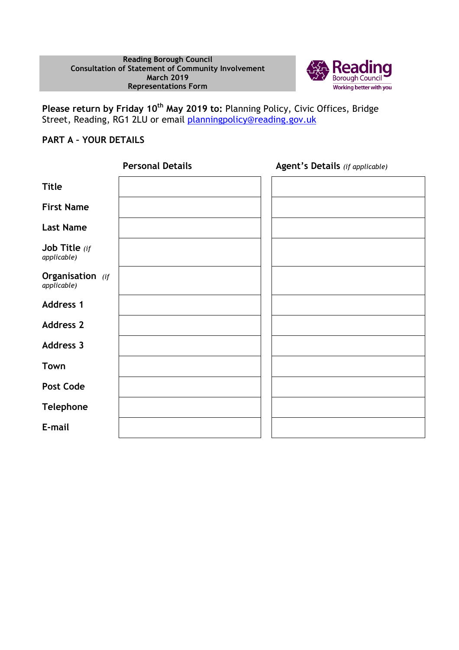

**Please return by Friday 10th May 2019 to:** Planning Policy, Civic Offices, Bridge Street, Reading, RG1 2LU or email <u>planningpolicy@reading.gov.uk</u>

## **PART A – YOUR DETAILS**

|                                 | <b>Personal Details</b> | Agent's Details (if applicable) |
|---------------------------------|-------------------------|---------------------------------|
| <b>Title</b>                    |                         |                                 |
| <b>First Name</b>               |                         |                                 |
| <b>Last Name</b>                |                         |                                 |
| Job Title $(if)$<br>applicable) |                         |                                 |
| Organisation (if<br>applicable) |                         |                                 |
| <b>Address 1</b>                |                         |                                 |
| <b>Address 2</b>                |                         |                                 |
| <b>Address 3</b>                |                         |                                 |
| Town                            |                         |                                 |
| <b>Post Code</b>                |                         |                                 |
| <b>Telephone</b>                |                         |                                 |
| E-mail                          |                         |                                 |
|                                 |                         |                                 |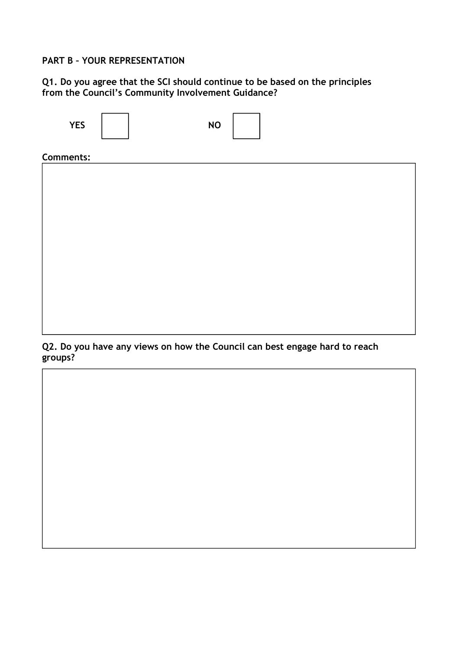#### **PART B – YOUR REPRESENTATION**

### **Q1. Do you agree that the SCI should continue to be based on the principles from the Council's Community Involvement Guidance?**



**Q2. Do you have any views on how the Council can best engage hard to reach groups?**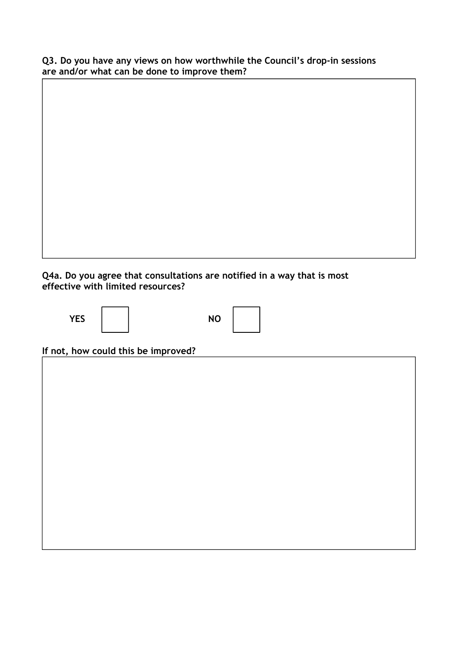**Q3. Do you have any views on how worthwhile the Council's drop-in sessions are and/or what can be done to improve them?** 

**Q4a. Do you agree that consultations are notified in a way that is most effective with limited resources?** 

**Dsjfkjf** 

| <b>YES</b> |  | <b>NO</b> |
|------------|--|-----------|
|------------|--|-----------|

| ┃ |  |
|---|--|
|   |  |
|   |  |
|   |  |
|   |  |
|   |  |
|   |  |
|   |  |
|   |  |
|   |  |

**If not, how could this be improved?**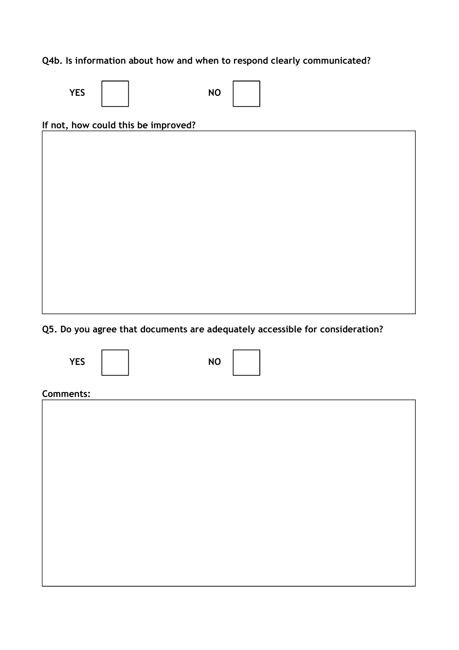# **Q4b. Is information about how and when to respond clearly communicated?**

| <b>YES</b> | <b>NO</b> |  |
|------------|-----------|--|
|------------|-----------|--|

### **If not, how could this be improved?**

**Q5. Do you agree that documents are adequately accessible for consideration?** 



## **Comments:**

| <u></u> |  |
|---------|--|
|         |  |
|         |  |
|         |  |
|         |  |
|         |  |
|         |  |
|         |  |
|         |  |
|         |  |
|         |  |
|         |  |
|         |  |
|         |  |
|         |  |
|         |  |
|         |  |
|         |  |
|         |  |
|         |  |
|         |  |
|         |  |
|         |  |
|         |  |
|         |  |
|         |  |
|         |  |
|         |  |
|         |  |
|         |  |
|         |  |
|         |  |
|         |  |
|         |  |
|         |  |
|         |  |
|         |  |
|         |  |
|         |  |
|         |  |
|         |  |
|         |  |
|         |  |
|         |  |
|         |  |
|         |  |
|         |  |
|         |  |
|         |  |
|         |  |
|         |  |
|         |  |
|         |  |
|         |  |
|         |  |
|         |  |
|         |  |
|         |  |
|         |  |
|         |  |
|         |  |
|         |  |
|         |  |
|         |  |
|         |  |
|         |  |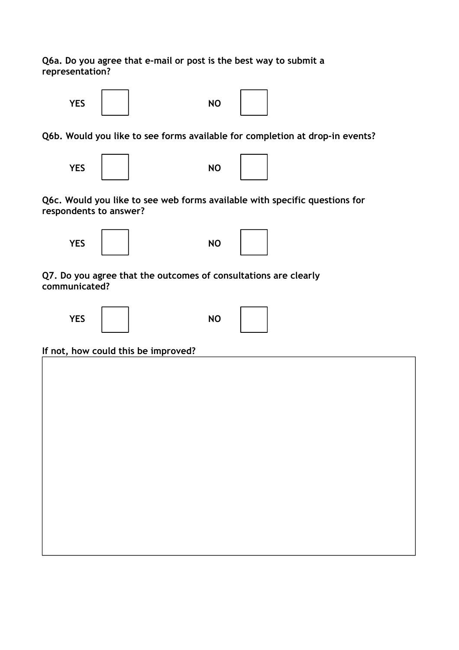**Q6a. Do you agree that e-mail or post is the best way to submit a representation?** 



**Q7. Do you agree that the outcomes of consultations are clearly communicated?** 





**If not, how could this be improved?**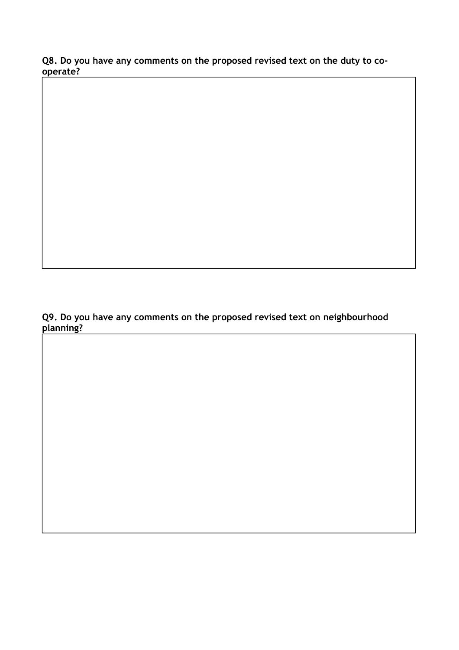**Q8. Do you have any comments on the proposed revised text on the duty to cooperate?** 

**Q9. Do you have any comments on the proposed revised text on neighbourhood planning?**